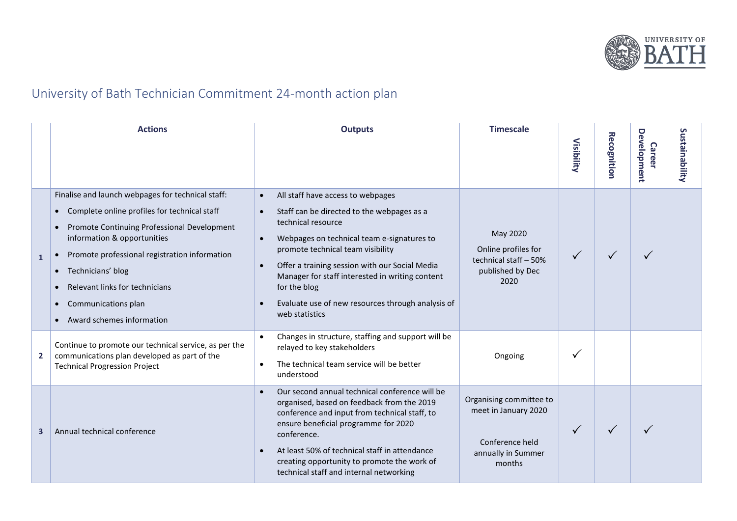

## University of Bath Technician Commitment 24-month action plan

|                | <b>Actions</b>                                                                                                                                                                                                                                                                                                                              | <b>Outputs</b>                                                                                                                                                                                                                                                                                                                                                                                                                                        | <b>Timescale</b>                                                                                   | Visibility   | <b>Recognition</b> | Development<br><b>Career</b> | Sustainability |
|----------------|---------------------------------------------------------------------------------------------------------------------------------------------------------------------------------------------------------------------------------------------------------------------------------------------------------------------------------------------|-------------------------------------------------------------------------------------------------------------------------------------------------------------------------------------------------------------------------------------------------------------------------------------------------------------------------------------------------------------------------------------------------------------------------------------------------------|----------------------------------------------------------------------------------------------------|--------------|--------------------|------------------------------|----------------|
| $\mathbf{1}$   | Finalise and launch webpages for technical staff:<br>Complete online profiles for technical staff<br>Promote Continuing Professional Development<br>information & opportunities<br>Promote professional registration information<br>Technicians' blog<br>Relevant links for technicians<br>Communications plan<br>Award schemes information | All staff have access to webpages<br>$\bullet$<br>Staff can be directed to the webpages as a<br>$\bullet$<br>technical resource<br>Webpages on technical team e-signatures to<br>$\bullet$<br>promote technical team visibility<br>Offer a training session with our Social Media<br>$\bullet$<br>Manager for staff interested in writing content<br>for the blog<br>Evaluate use of new resources through analysis of<br>$\bullet$<br>web statistics | May 2020<br>Online profiles for<br>technical staff - 50%<br>published by Dec<br>2020               | $\checkmark$ | ✓                  | ✓                            |                |
| $\overline{2}$ | Continue to promote our technical service, as per the<br>communications plan developed as part of the<br><b>Technical Progression Project</b>                                                                                                                                                                                               | Changes in structure, staffing and support will be<br>$\bullet$<br>relayed to key stakeholders<br>The technical team service will be better<br>$\bullet$<br>understood                                                                                                                                                                                                                                                                                | Ongoing                                                                                            | ν            |                    |                              |                |
| $\mathbf{3}$   | Annual technical conference                                                                                                                                                                                                                                                                                                                 | Our second annual technical conference will be<br>$\bullet$<br>organised, based on feedback from the 2019<br>conference and input from technical staff, to<br>ensure beneficial programme for 2020<br>conference.<br>At least 50% of technical staff in attendance<br>$\bullet$<br>creating opportunity to promote the work of<br>technical staff and internal networking                                                                             | Organising committee to<br>meet in January 2020<br>Conference held<br>annually in Summer<br>months | $\checkmark$ | ✓                  | ✓                            |                |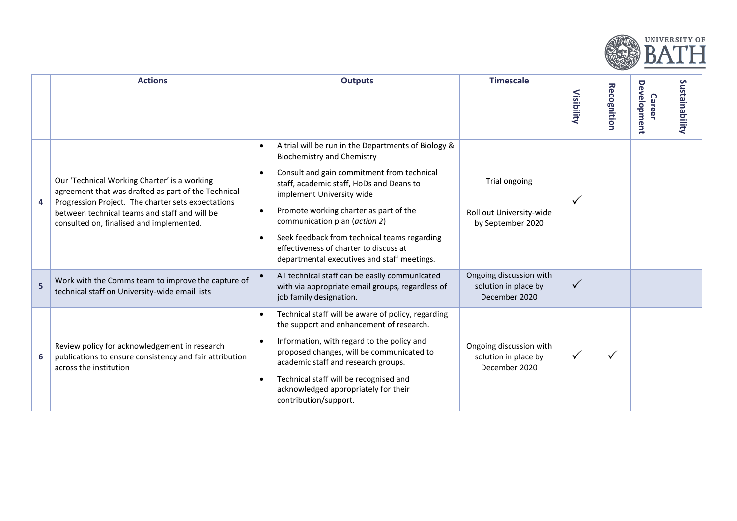

|   | <b>Actions</b>                                                                                                                                                                                                                                         | <b>Outputs</b>                                                                                                                                                                                                                                                                                                                                                                                                                                                      | <b>Timescale</b>                                                 | Visibility | <b>Recognition</b> | Development<br><b>Career</b> | Sustainability |
|---|--------------------------------------------------------------------------------------------------------------------------------------------------------------------------------------------------------------------------------------------------------|---------------------------------------------------------------------------------------------------------------------------------------------------------------------------------------------------------------------------------------------------------------------------------------------------------------------------------------------------------------------------------------------------------------------------------------------------------------------|------------------------------------------------------------------|------------|--------------------|------------------------------|----------------|
| 4 | Our 'Technical Working Charter' is a working<br>agreement that was drafted as part of the Technical<br>Progression Project. The charter sets expectations<br>between technical teams and staff and will be<br>consulted on, finalised and implemented. | A trial will be run in the Departments of Biology &<br>$\bullet$<br>Biochemistry and Chemistry<br>Consult and gain commitment from technical<br>staff, academic staff, HoDs and Deans to<br>implement University wide<br>Promote working charter as part of the<br>$\bullet$<br>communication plan (action 2)<br>Seek feedback from technical teams regarding<br>$\bullet$<br>effectiveness of charter to discuss at<br>departmental executives and staff meetings. | Trial ongoing<br>Roll out University-wide<br>by September 2020   |            |                    |                              |                |
| 5 | Work with the Comms team to improve the capture of<br>technical staff on University-wide email lists                                                                                                                                                   | All technical staff can be easily communicated<br>with via appropriate email groups, regardless of<br>job family designation.                                                                                                                                                                                                                                                                                                                                       | Ongoing discussion with<br>solution in place by<br>December 2020 | ✓          |                    |                              |                |
| 6 | Review policy for acknowledgement in research<br>publications to ensure consistency and fair attribution<br>across the institution                                                                                                                     | Technical staff will be aware of policy, regarding<br>the support and enhancement of research.<br>Information, with regard to the policy and<br>proposed changes, will be communicated to<br>academic staff and research groups.<br>Technical staff will be recognised and<br>$\bullet$<br>acknowledged appropriately for their<br>contribution/support.                                                                                                            | Ongoing discussion with<br>solution in place by<br>December 2020 | ✓          |                    |                              |                |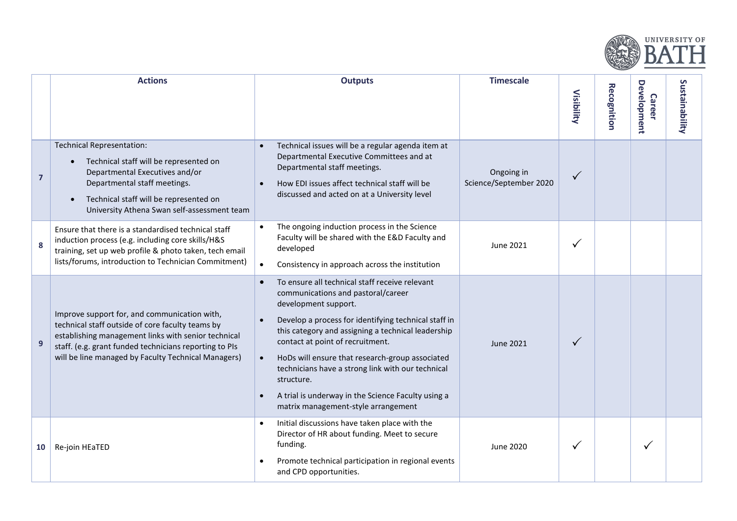

|                | <b>Actions</b>                                                                                                                                                                                                                                                           | <b>Outputs</b>                                                                                                                                                                                                                                                                                                                                                                                                                                                                                              | <b>Timescale</b>                     | Visibility   | <b>Recognition</b> | <b>Development</b><br><b>Career</b> | ທ<br>ustainability |
|----------------|--------------------------------------------------------------------------------------------------------------------------------------------------------------------------------------------------------------------------------------------------------------------------|-------------------------------------------------------------------------------------------------------------------------------------------------------------------------------------------------------------------------------------------------------------------------------------------------------------------------------------------------------------------------------------------------------------------------------------------------------------------------------------------------------------|--------------------------------------|--------------|--------------------|-------------------------------------|--------------------|
| $\overline{7}$ | <b>Technical Representation:</b><br>• Technical staff will be represented on<br>Departmental Executives and/or<br>Departmental staff meetings.<br>Technical staff will be represented on<br>University Athena Swan self-assessment team                                  | Technical issues will be a regular agenda item at<br>Departmental Executive Committees and at<br>Departmental staff meetings.<br>How EDI issues affect technical staff will be<br>$\bullet$<br>discussed and acted on at a University level                                                                                                                                                                                                                                                                 | Ongoing in<br>Science/September 2020 | $\checkmark$ |                    |                                     |                    |
| 8              | Ensure that there is a standardised technical staff<br>induction process (e.g. including core skills/H&S<br>training, set up web profile & photo taken, tech email<br>lists/forums, introduction to Technician Commitment)                                               | The ongoing induction process in the Science<br>$\bullet$<br>Faculty will be shared with the E&D Faculty and<br>developed<br>Consistency in approach across the institution<br>$\bullet$                                                                                                                                                                                                                                                                                                                    | June 2021                            | ✓            |                    |                                     |                    |
| $\overline{9}$ | Improve support for, and communication with,<br>technical staff outside of core faculty teams by<br>establishing management links with senior technical<br>staff. (e.g. grant funded technicians reporting to PIs<br>will be line managed by Faculty Technical Managers) | To ensure all technical staff receive relevant<br>$\bullet$<br>communications and pastoral/career<br>development support.<br>Develop a process for identifying technical staff in<br>this category and assigning a technical leadership<br>contact at point of recruitment.<br>HoDs will ensure that research-group associated<br>$\bullet$<br>technicians have a strong link with our technical<br>structure.<br>A trial is underway in the Science Faculty using a<br>matrix management-style arrangement | June 2021                            | ✓            |                    |                                     |                    |
| 10             | Re-join HEaTED                                                                                                                                                                                                                                                           | Initial discussions have taken place with the<br>$\bullet$<br>Director of HR about funding. Meet to secure<br>funding.<br>Promote technical participation in regional events<br>and CPD opportunities.                                                                                                                                                                                                                                                                                                      | June 2020                            | ✓            |                    | ✓                                   |                    |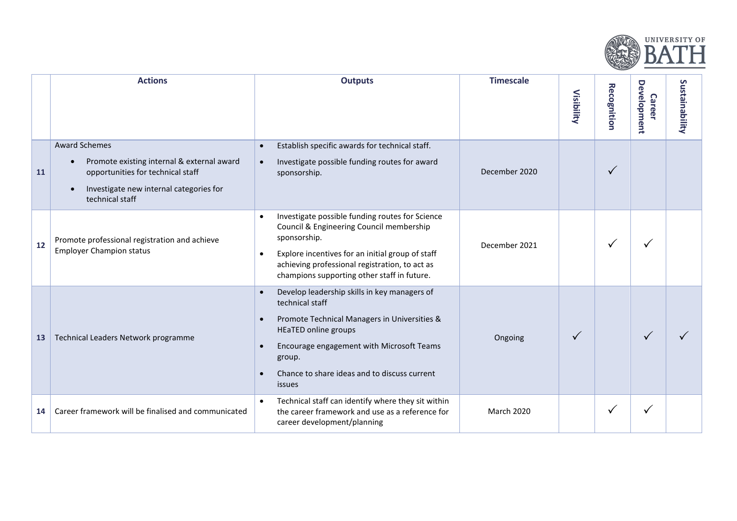

|    | <b>Actions</b>                                                                                                                                                                     | <b>Outputs</b>                                                                                                                                                                                                                                                                                                      | <b>Timescale</b>  | Visibility | <b>Recognition</b> | Development<br><b>Career</b> | Sustainability |
|----|------------------------------------------------------------------------------------------------------------------------------------------------------------------------------------|---------------------------------------------------------------------------------------------------------------------------------------------------------------------------------------------------------------------------------------------------------------------------------------------------------------------|-------------------|------------|--------------------|------------------------------|----------------|
| 11 | <b>Award Schemes</b><br>Promote existing internal & external award<br>opportunities for technical staff<br>Investigate new internal categories for<br>$\bullet$<br>technical staff | Establish specific awards for technical staff.<br>$\bullet$<br>Investigate possible funding routes for award<br>$\bullet$<br>sponsorship.                                                                                                                                                                           | December 2020     |            | $\checkmark$       |                              |                |
| 12 | Promote professional registration and achieve<br><b>Employer Champion status</b>                                                                                                   | Investigate possible funding routes for Science<br>$\bullet$<br>Council & Engineering Council membership<br>sponsorship.<br>Explore incentives for an initial group of staff<br>$\bullet$<br>achieving professional registration, to act as<br>champions supporting other staff in future.                          | December 2021     |            | $\checkmark$       |                              |                |
| 13 | Technical Leaders Network programme                                                                                                                                                | Develop leadership skills in key managers of<br>$\bullet$<br>technical staff<br>Promote Technical Managers in Universities &<br>$\bullet$<br><b>HEaTED online groups</b><br>Encourage engagement with Microsoft Teams<br>$\bullet$<br>group.<br>Chance to share ideas and to discuss current<br>$\bullet$<br>issues | Ongoing           | ✓          |                    | $\checkmark$                 |                |
| 14 | Career framework will be finalised and communicated                                                                                                                                | Technical staff can identify where they sit within<br>$\bullet$<br>the career framework and use as a reference for<br>career development/planning                                                                                                                                                                   | <b>March 2020</b> |            | ✓                  | $\checkmark$                 |                |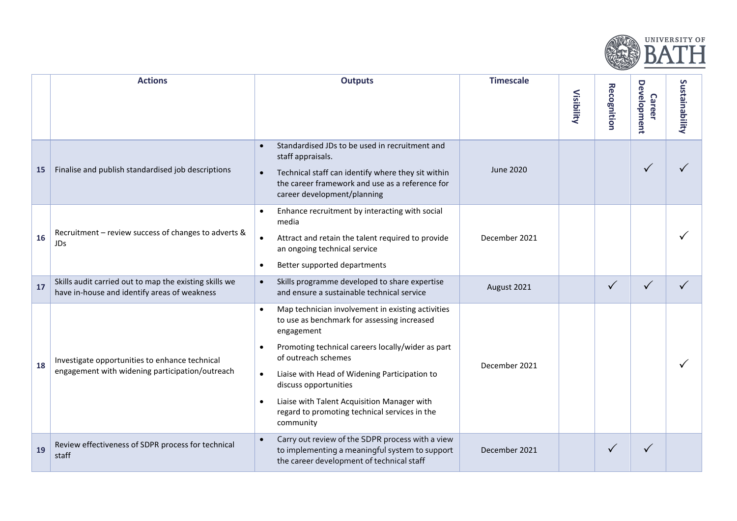

|           | <b>Actions</b>                                                                                         | <b>Outputs</b>                                                                                                                                                                                                                                                                                                                                                                                                                        | <b>Timescale</b> | <b>Visibility</b> | <b>Recognition</b> | <b>Development</b><br><b>Career</b> | Sustainability |
|-----------|--------------------------------------------------------------------------------------------------------|---------------------------------------------------------------------------------------------------------------------------------------------------------------------------------------------------------------------------------------------------------------------------------------------------------------------------------------------------------------------------------------------------------------------------------------|------------------|-------------------|--------------------|-------------------------------------|----------------|
| <b>15</b> | Finalise and publish standardised job descriptions                                                     | Standardised JDs to be used in recruitment and<br>$\bullet$<br>staff appraisals.<br>Technical staff can identify where they sit within<br>$\bullet$<br>the career framework and use as a reference for<br>career development/planning                                                                                                                                                                                                 | <b>June 2020</b> |                   |                    | $\checkmark$                        |                |
| 16        | Recruitment - review success of changes to adverts &<br>JDs                                            | Enhance recruitment by interacting with social<br>$\bullet$<br>media<br>Attract and retain the talent required to provide<br>$\bullet$<br>an ongoing technical service<br>Better supported departments<br>$\bullet$                                                                                                                                                                                                                   | December 2021    |                   |                    |                                     |                |
| 17        | Skills audit carried out to map the existing skills we<br>have in-house and identify areas of weakness | Skills programme developed to share expertise<br>$\bullet$<br>and ensure a sustainable technical service                                                                                                                                                                                                                                                                                                                              | August 2021      |                   | $\checkmark$       | $\checkmark$                        |                |
| 18        | Investigate opportunities to enhance technical<br>engagement with widening participation/outreach      | Map technician involvement in existing activities<br>$\bullet$<br>to use as benchmark for assessing increased<br>engagement<br>Promoting technical careers locally/wider as part<br>$\bullet$<br>of outreach schemes<br>Liaise with Head of Widening Participation to<br>$\bullet$<br>discuss opportunities<br>Liaise with Talent Acquisition Manager with<br>$\bullet$<br>regard to promoting technical services in the<br>community | December 2021    |                   |                    |                                     |                |
| 19        | Review effectiveness of SDPR process for technical<br>staff                                            | Carry out review of the SDPR process with a view<br>$\bullet$<br>to implementing a meaningful system to support<br>the career development of technical staff                                                                                                                                                                                                                                                                          | December 2021    |                   | $\checkmark$       |                                     |                |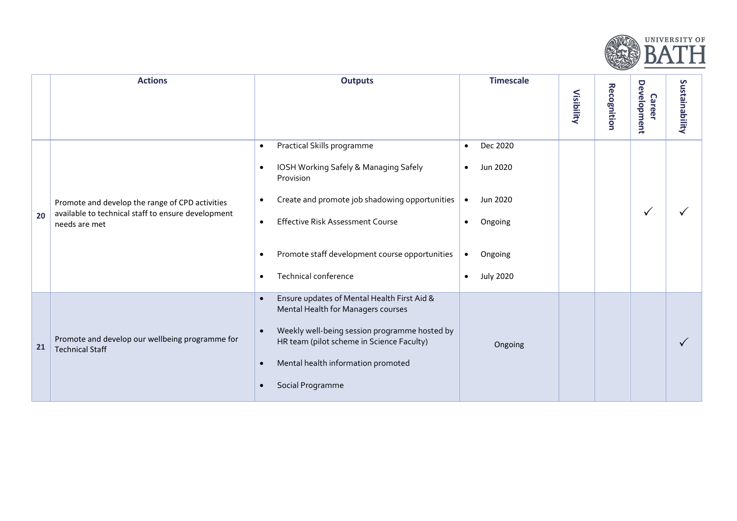

|    | <b>Actions</b>                                                                                                         | <b>Outputs</b>                                                                                                                                                                                                                                                                                                                               | <b>Timescale</b>                                                                                                                                         | Visibility | <b>Recognition</b> | Development<br><b>Career</b> | Sustainability |
|----|------------------------------------------------------------------------------------------------------------------------|----------------------------------------------------------------------------------------------------------------------------------------------------------------------------------------------------------------------------------------------------------------------------------------------------------------------------------------------|----------------------------------------------------------------------------------------------------------------------------------------------------------|------------|--------------------|------------------------------|----------------|
| 20 | Promote and develop the range of CPD activities<br>available to technical staff to ensure development<br>needs are met | Practical Skills programme<br>$\bullet$<br>IOSH Working Safely & Managing Safely<br>$\bullet$<br>Provision<br>Create and promote job shadowing opportunities<br>$\bullet$<br><b>Effective Risk Assessment Course</b><br>$\bullet$<br>Promote staff development course opportunities<br>$\bullet$<br><b>Technical conference</b><br>$\bullet$ | Dec 2020<br>$\bullet$<br>Jun 2020<br>$\bullet$<br>Jun 2020<br>$\bullet$<br>Ongoing<br>$\bullet$<br>Ongoing<br>$\bullet$<br><b>July 2020</b><br>$\bullet$ |            |                    | $\checkmark$                 |                |
| 21 | Promote and develop our wellbeing programme for<br><b>Technical Staff</b>                                              | Ensure updates of Mental Health First Aid &<br>$\bullet$<br>Mental Health for Managers courses<br>Weekly well-being session programme hosted by<br>$\bullet$<br>HR team (pilot scheme in Science Faculty)<br>Mental health information promoted<br>$\bullet$<br>Social Programme<br>$\bullet$                                                | Ongoing                                                                                                                                                  |            |                    |                              |                |